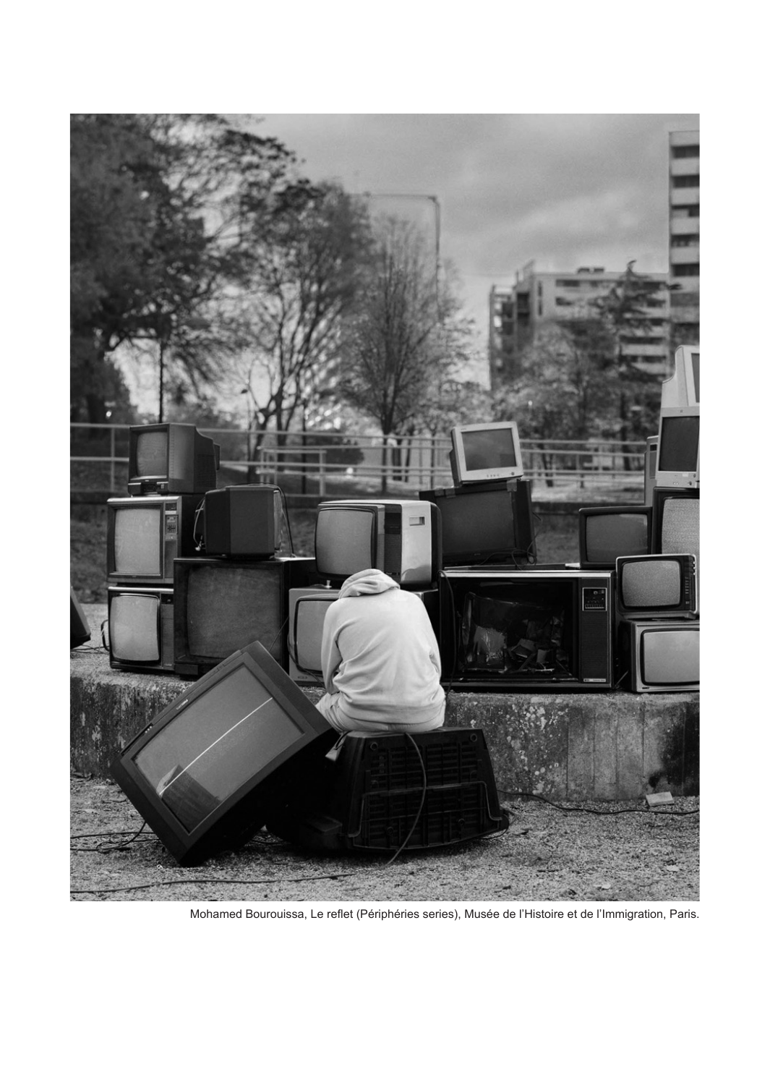

Mohamed Bourouissa, Le reflet (Périphéries series), Musée de l'Histoire et de l'Immigration, Paris.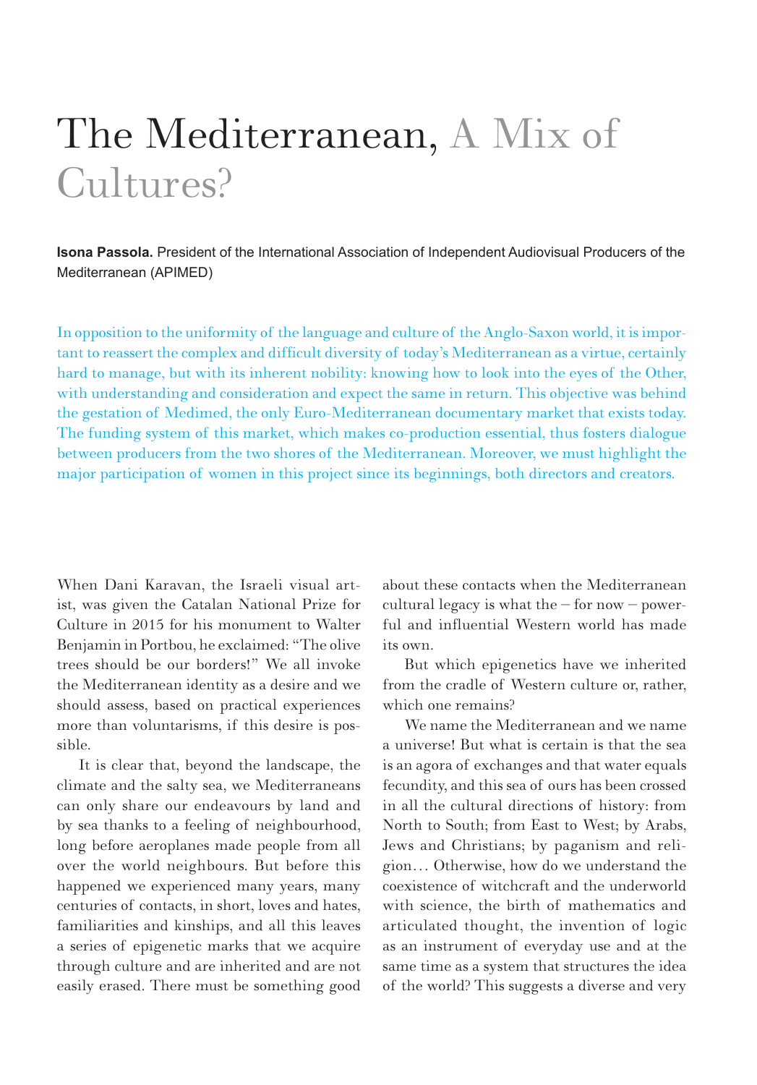## The Mediterranean, A Mix of Cultures?

**Isona Passola.** President of the International Association of Independent Audiovisual Producers of the Mediterranean (APIMED)

In opposition to the uniformity of the language and culture of the Anglo-Saxon world, it is important to reassert the complex and difficult diversity of today's Mediterranean as a virtue, certainly hard to manage, but with its inherent nobility: knowing how to look into the eyes of the Other, with understanding and consideration and expect the same in return. This objective was behind the gestation of Medimed, the only Euro-Mediterranean documentary market that exists today. The funding system of this market, which makes co-production essential, thus fosters dialogue between producers from the two shores of the Mediterranean. Moreover, we must highlight the major participation of women in this project since its beginnings, both directors and creators.

When Dani Karavan, the Israeli visual artist, was given the Catalan National Prize for Culture in 2015 for his monument to Walter Benjamin in Portbou, he exclaimed: "The olive trees should be our borders!" We all invoke the Mediterranean identity as a desire and we should assess, based on practical experiences more than voluntarisms, if this desire is possible.

It is clear that, beyond the landscape, the climate and the salty sea, we Mediterraneans can only share our endeavours by land and by sea thanks to a feeling of neighbourhood, long before aeroplanes made people from all over the world neighbours. But before this happened we experienced many years, many centuries of contacts, in short, loves and hates, familiarities and kinships, and all this leaves a series of epigenetic marks that we acquire through culture and are inherited and are not easily erased. There must be something good about these contacts when the Mediterranean cultural legacy is what the – for now – powerful and influential Western world has made its own.

But which epigenetics have we inherited from the cradle of Western culture or, rather, which one remains?

We name the Mediterranean and we name a universe! But what is certain is that the sea is an agora of exchanges and that water equals fecundity, and this sea of ours has been crossed in all the cultural directions of history: from North to South; from East to West; by Arabs, Jews and Christians; by paganism and religion… Otherwise, how do we understand the coexistence of witchcraft and the underworld with science, the birth of mathematics and articulated thought, the invention of logic as an instrument of everyday use and at the same time as a system that structures the idea of the world? This suggests a diverse and very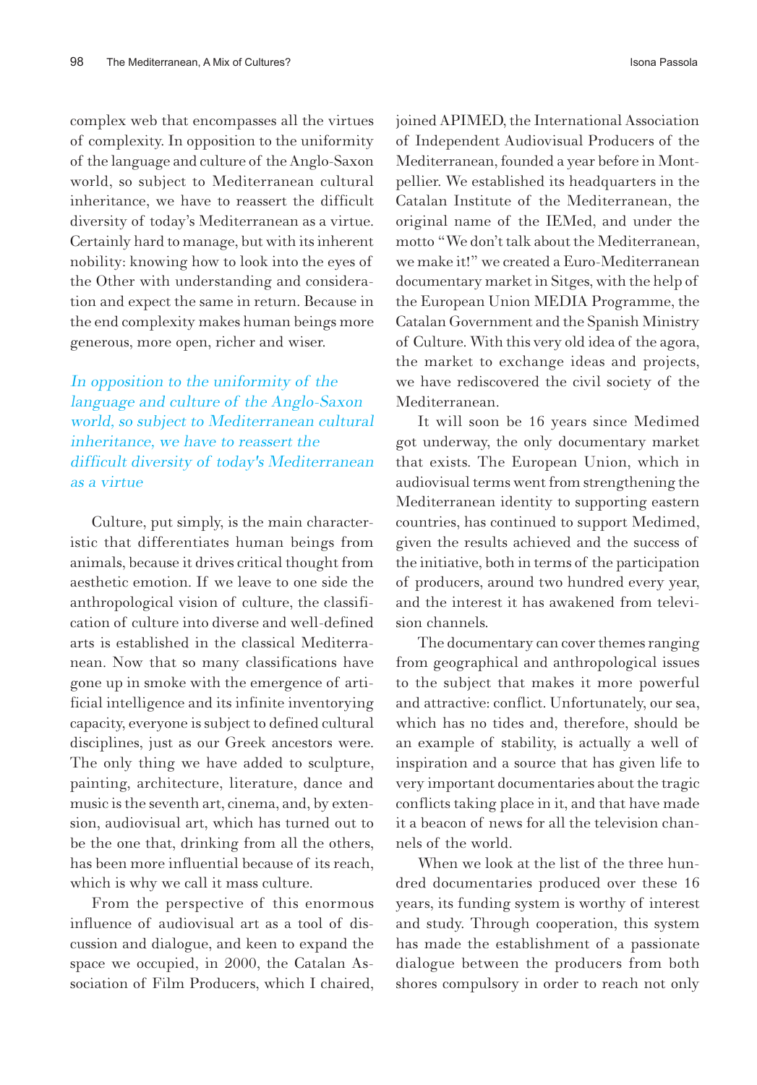complex web that encompasses all the virtues of complexity. In opposition to the uniformity of the language and culture of the Anglo-Saxon world, so subject to Mediterranean cultural inheritance, we have to reassert the difficult diversity of today's Mediterranean as a virtue. Certainly hard to manage, but with its inherent nobility: knowing how to look into the eyes of the Other with understanding and consideration and expect the same in return. Because in the end complexity makes human beings more generous, more open, richer and wiser.

In opposition to the uniformity of the language and culture of the Anglo-Saxon world, so subject to Mediterranean cultural inheritance, we have to reassert the difficult diversity of today's Mediterranean as a virtue

Culture, put simply, is the main characteristic that differentiates human beings from animals, because it drives critical thought from aesthetic emotion. If we leave to one side the anthropological vision of culture, the classification of culture into diverse and well-defined arts is established in the classical Mediterranean. Now that so many classifications have gone up in smoke with the emergence of artificial intelligence and its infinite inventorying capacity, everyone is subject to defined cultural disciplines, just as our Greek ancestors were. The only thing we have added to sculpture, painting, architecture, literature, dance and music is the seventh art, cinema, and, by extension, audiovisual art, which has turned out to be the one that, drinking from all the others, has been more influential because of its reach, which is why we call it mass culture.

From the perspective of this enormous influence of audiovisual art as a tool of discussion and dialogue, and keen to expand the space we occupied, in 2000, the Catalan Association of Film Producers, which I chaired, joined APIMED, the International Association of Independent Audiovisual Producers of the Mediterranean, founded a year before in Montpellier. We established its headquarters in the Catalan Institute of the Mediterranean, the original name of the IEMed, and under the motto "We don't talk about the Mediterranean, we make it!" we created a Euro-Mediterranean documentary market in Sitges, with the help of the European Union MEDIA Programme, the Catalan Government and the Spanish Ministry of Culture. With this very old idea of the agora, the market to exchange ideas and projects, we have rediscovered the civil society of the Mediterranean.

It will soon be 16 years since Medimed got underway, the only documentary market that exists. The European Union, which in audiovisual terms went from strengthening the Mediterranean identity to supporting eastern countries, has continued to support Medimed, given the results achieved and the success of the initiative, both in terms of the participation of producers, around two hundred every year, and the interest it has awakened from television channels.

The documentary can cover themes ranging from geographical and anthropological issues to the subject that makes it more powerful and attractive: conflict. Unfortunately, our sea, which has no tides and, therefore, should be an example of stability, is actually a well of inspiration and a source that has given life to very important documentaries about the tragic conflicts taking place in it, and that have made it a beacon of news for all the television channels of the world.

When we look at the list of the three hundred documentaries produced over these 16 years, its funding system is worthy of interest and study. Through cooperation, this system has made the establishment of a passionate dialogue between the producers from both shores compulsory in order to reach not only